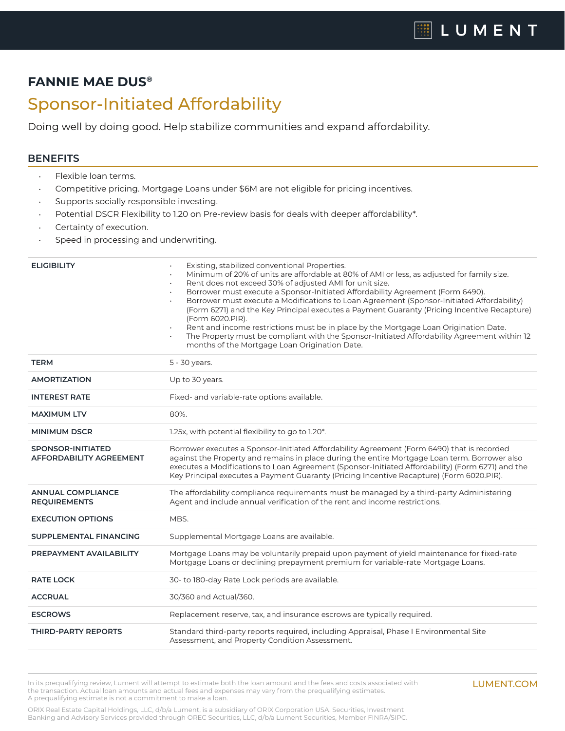## **FANNIE MAE DUS®**

## Sponsor-Initiated Affordability

Doing well by doing good. Help stabilize communities and expand affordability.

## **BENEFITS**

- Flexible loan terms.
- Competitive pricing. Mortgage Loans under \$6M are not eligible for pricing incentives.
- Supports socially responsible investing.
- Potential DSCR Flexibility to 1.20 on Pre-review basis for deals with deeper affordability\*.
- Certainty of execution.
- Speed in processing and underwriting.

| <b>ELIGIBILITY</b>                                         | Existing, stabilized conventional Properties.<br>Minimum of 20% of units are affordable at 80% of AMI or less, as adjusted for family size.<br>Rent does not exceed 30% of adjusted AMI for unit size.<br>Borrower must execute a Sponsor-Initiated Affordability Agreement (Form 6490).<br>Borrower must execute a Modifications to Loan Agreement (Sponsor-Initiated Affordability)<br>(Form 6271) and the Key Principal executes a Payment Guaranty (Pricing Incentive Recapture)<br>(Form 6020.PIR).<br>Rent and income restrictions must be in place by the Mortgage Loan Origination Date.<br>The Property must be compliant with the Sponsor-Initiated Affordability Agreement within 12<br>months of the Mortgage Loan Origination Date. |
|------------------------------------------------------------|--------------------------------------------------------------------------------------------------------------------------------------------------------------------------------------------------------------------------------------------------------------------------------------------------------------------------------------------------------------------------------------------------------------------------------------------------------------------------------------------------------------------------------------------------------------------------------------------------------------------------------------------------------------------------------------------------------------------------------------------------|
| <b>TERM</b>                                                | 5 - 30 years.                                                                                                                                                                                                                                                                                                                                                                                                                                                                                                                                                                                                                                                                                                                                    |
| <b>AMORTIZATION</b>                                        | Up to 30 years.                                                                                                                                                                                                                                                                                                                                                                                                                                                                                                                                                                                                                                                                                                                                  |
| <b>INTEREST RATE</b>                                       | Fixed- and variable-rate options available.                                                                                                                                                                                                                                                                                                                                                                                                                                                                                                                                                                                                                                                                                                      |
| <b>MAXIMUM LTV</b>                                         | 80%.                                                                                                                                                                                                                                                                                                                                                                                                                                                                                                                                                                                                                                                                                                                                             |
| <b>MINIMUM DSCR</b>                                        | 1.25x, with potential flexibility to go to 1.20*.                                                                                                                                                                                                                                                                                                                                                                                                                                                                                                                                                                                                                                                                                                |
| <b>SPONSOR-INITIATED</b><br><b>AFFORDABILITY AGREEMENT</b> | Borrower executes a Sponsor-Initiated Affordability Agreement (Form 6490) that is recorded<br>against the Property and remains in place during the entire Mortgage Loan term. Borrower also<br>executes a Modifications to Loan Agreement (Sponsor-Initiated Affordability) (Form 6271) and the<br>Key Principal executes a Payment Guaranty (Pricing Incentive Recapture) (Form 6020.PIR).                                                                                                                                                                                                                                                                                                                                                      |
| <b>ANNUAL COMPLIANCE</b><br><b>REQUIREMENTS</b>            | The affordability compliance requirements must be managed by a third-party Administering<br>Agent and include annual verification of the rent and income restrictions.                                                                                                                                                                                                                                                                                                                                                                                                                                                                                                                                                                           |
| <b>EXECUTION OPTIONS</b>                                   | MBS.                                                                                                                                                                                                                                                                                                                                                                                                                                                                                                                                                                                                                                                                                                                                             |
| SUPPLEMENTAL FINANCING                                     | Supplemental Mortgage Loans are available.                                                                                                                                                                                                                                                                                                                                                                                                                                                                                                                                                                                                                                                                                                       |
| PREPAYMENT AVAILABILITY                                    | Mortgage Loans may be voluntarily prepaid upon payment of yield maintenance for fixed-rate<br>Mortgage Loans or declining prepayment premium for variable-rate Mortgage Loans.                                                                                                                                                                                                                                                                                                                                                                                                                                                                                                                                                                   |
| <b>RATE LOCK</b>                                           | 30- to 180-day Rate Lock periods are available.                                                                                                                                                                                                                                                                                                                                                                                                                                                                                                                                                                                                                                                                                                  |
| <b>ACCRUAL</b>                                             | 30/360 and Actual/360.                                                                                                                                                                                                                                                                                                                                                                                                                                                                                                                                                                                                                                                                                                                           |
| <b>ESCROWS</b>                                             | Replacement reserve, tax, and insurance escrows are typically required.                                                                                                                                                                                                                                                                                                                                                                                                                                                                                                                                                                                                                                                                          |
| <b>THIRD-PARTY REPORTS</b>                                 | Standard third-party reports required, including Appraisal, Phase I Environmental Site<br>Assessment, and Property Condition Assessment.                                                                                                                                                                                                                                                                                                                                                                                                                                                                                                                                                                                                         |

In its prequalifying review, Lument will attempt to estimate both the loan amount and the fees and costs associated with **LUMENT.COM** the transaction. Actual loan amounts and actual fees and expenses may vary from the prequalifying estimates. A prequalifying estimate is not a commitment to make a loan.

ORIX Real Estate Capital Holdings, LLC, d/b/a Lument, is a subsidiary of ORIX Corporation USA. Securities, Investment Banking and Advisory Services provided through OREC Securities, LLC, d/b/a Lument Securities, Member FINRA/SIPC.